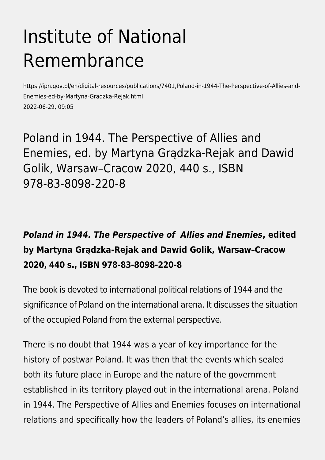## Institute of National Remembrance

https://ipn.gov.pl/en/digital-resources/publications/7401,Poland-in-1944-The-Perspective-of-Allies-and-Enemies-ed-by-Martyna-Gradzka-Rejak.html 2022-06-29, 09:05

Poland in 1944. The Perspective of Allies and Enemies, ed. by Martyna Grądzka-Rejak and Dawid Golik, Warsaw–Cracow 2020, 440 s., ISBN 978-83-8098-220-8

## *Poland in 1944. The Perspective of Allies and Enemies***, edited by Martyna Grądzka-Rejak and Dawid Golik, Warsaw–Cracow 2020, 440 s., ISBN 978-83-8098-220-8**

The book is devoted to international political relations of 1944 and the significance of Poland on the international arena. It discusses the situation of the occupied Poland from the external perspective.

There is no doubt that 1944 was a year of key importance for the history of postwar Poland. It was then that the events which sealed both its future place in Europe and the nature of the government established in its territory played out in the international arena. Poland in 1944. The Perspective of Allies and Enemies focuses on international relations and specifically how the leaders of Poland's allies, its enemies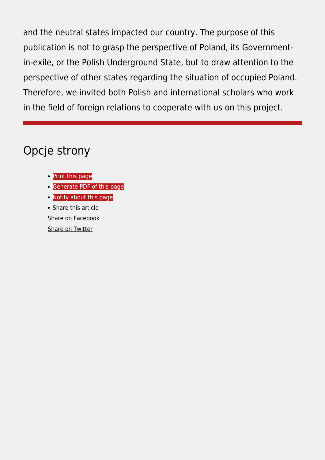and the neutral states impacted our country. The purpose of this publication is not to grasp the perspective of Poland, its Governmentin-exile, or the Polish Underground State, but to draw attention to the perspective of other states regarding the situation of occupied Poland. Therefore, we invited both Polish and international scholars who work in the field of foreign relations to cooperate with us on this project.

## Opcje strony

- **•** [Print](https://ipn.gov.pl/javascript:winopen() [this page](https://ipn.gov.pl/javascript:winopen()
- [Generate PDF](https://ipn.gov.pl/en/digital-resources/publications/7401,Poland-in-1944-The-Perspective-of-Allies-and-Enemies-ed-by-Martyna-Gradzka-Rejak.pdf) [of this page](https://ipn.gov.pl/en/digital-resources/publications/7401,Poland-in-1944-The-Perspective-of-Allies-and-Enemies-ed-by-Martyna-Gradzka-Rejak.pdf)
- [Notify](https://ipn.gov.pl/en/powiadom/7401,dok.html?poz=digital-resources/publications&drukuj=window) [about this page](https://ipn.gov.pl/en/powiadom/7401,dok.html?poz=digital-resources/publications&drukuj=window)
- Share this article

[Share](https://www.facebook.com/sharer/sharer.php?u=https://ipn.gov.pl/en/digital-resources/publications/7401,Poland-in-1944-The-Perspective-of-Allies-and-Enemies-ed-by-Martyna-Gradzka-Rejak.html) [on Facebook](https://www.facebook.com/sharer/sharer.php?u=https://ipn.gov.pl/en/digital-resources/publications/7401,Poland-in-1944-The-Perspective-of-Allies-and-Enemies-ed-by-Martyna-Gradzka-Rejak.html)

[Share](https://twitter.com/share) [on Twitter](https://twitter.com/share)